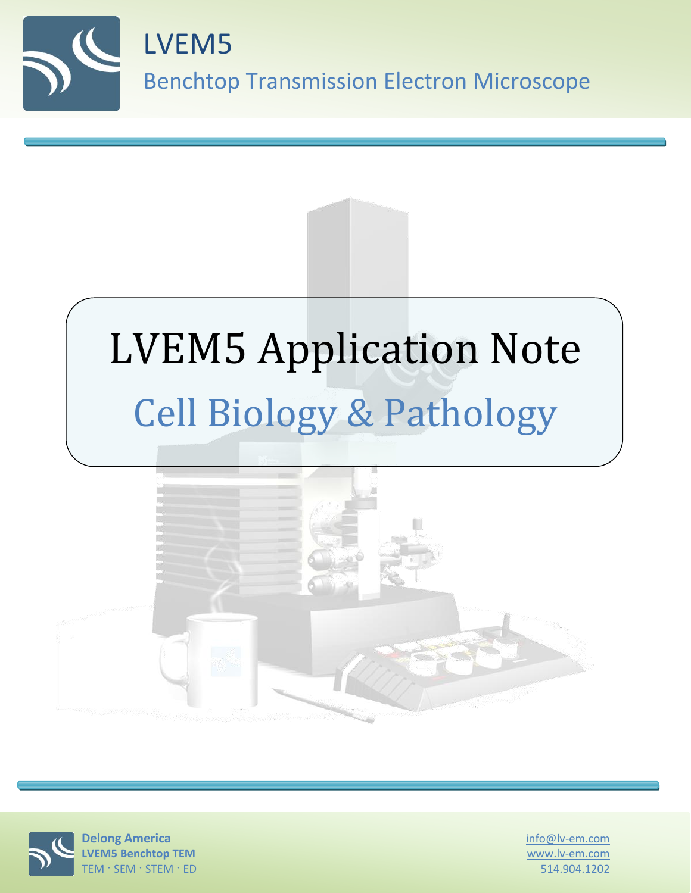

# LVEM5 Application Note Cell Biology & Pathology





info@lv-em.com www.lv-em.com 514.904.1202

**Delong America LVEM5 Benchtop TEM** TEM · SEM · STEM · ED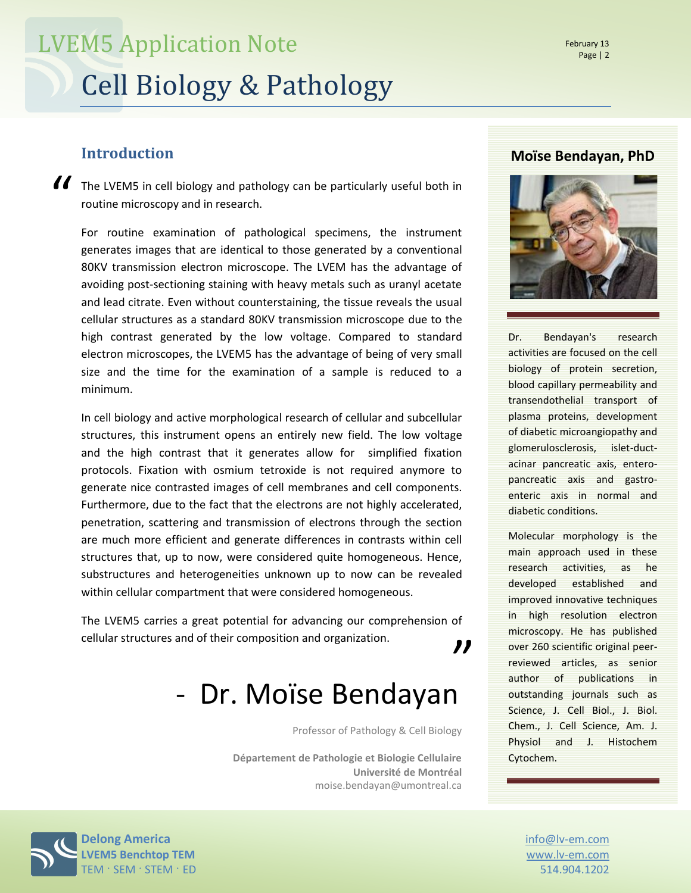#### **Introduction**

If the LVEM5 in cell biology and pathology can be particularly useful both in routine microscopy and in research. routine microscopy and in research.

For routine examination of pathological specimens, the instrument generates images that are identical to those generated by a conventional 80KV transmission electron microscope. The LVEM has the advantage of avoiding post-sectioning staining with heavy metals such as uranyl acetate and lead citrate. Even without counterstaining, the tissue reveals the usual cellular structures as a standard 80KV transmission microscope due to the high contrast generated by the low voltage. Compared to standard electron microscopes, the LVEM5 has the advantage of being of very small size and the time for the examination of a sample is reduced to a minimum.

In cell biology and active morphological research of cellular and subcellular structures, this instrument opens an entirely new field. The low voltage and the high contrast that it generates allow for simplified fixation protocols. Fixation with osmium tetroxide is not required anymore to generate nice contrasted images of cell membranes and cell components. Furthermore, due to the fact that the electrons are not highly accelerated, penetration, scattering and transmission of electrons through the section are much more efficient and generate differences in contrasts within cell structures that, up to now, were considered quite homogeneous. Hence, substructures and heterogeneities unknown up to now can be revealed within cellular compartment that were considered homogeneous.

The LVEM5 carries a great potential for advancing our comprehension of cellular structures and of their composition and organization. "

### - Dr. Moïse Bendayan

Professor of Pathology & Cell Biology

**Département de Pathologie et Biologie Cellulaire Université de Montréal** moise.bendayan@umontreal.ca

#### **Moïse Bendayan, PhD**



Dr. Bendayan's research activities are focused on the cell biology of protein secretion, blood capillary permeability and transendothelial transport of plasma proteins, development of diabetic microangiopathy and glomerulosclerosis, islet-ductacinar pancreatic axis, enteropancreatic axis and gastroenteric axis in normal and diabetic conditions.

Molecular morphology is the main approach used in these research activities, as he developed established and improved innovative techniques in high resolution electron microscopy. He has published over 260 scientific original peerreviewed articles, as senior author of publications in outstanding journals such as Science, J. Cell Biol., J. Biol. Chem., J. Cell Science, Am. J. Physiol and J. Histochem Cytochem.

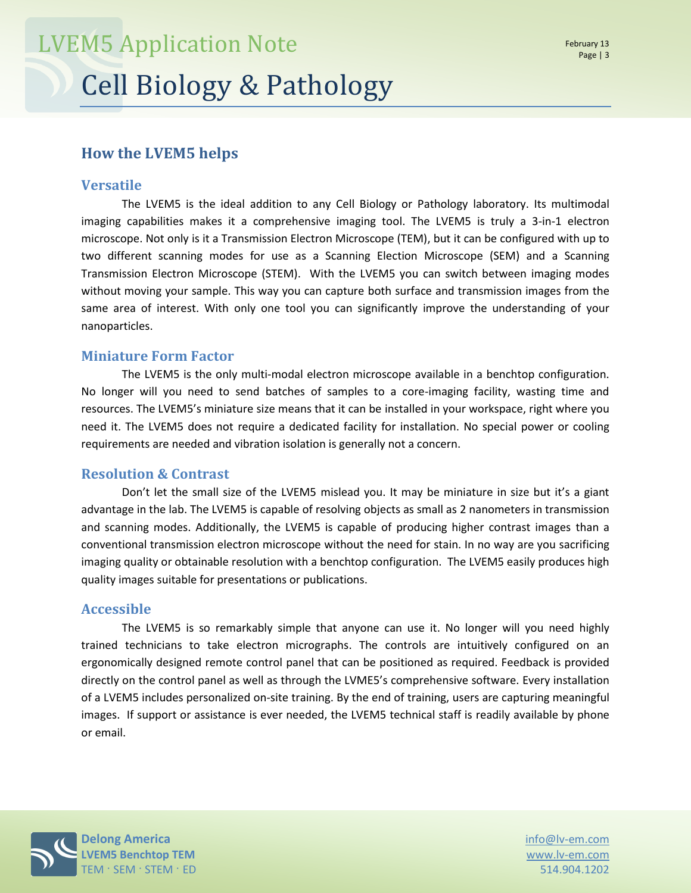#### **How the LVEM5 helps**

#### **Versatile**

The LVEM5 is the ideal addition to any Cell Biology or Pathology laboratory. Its multimodal imaging capabilities makes it a comprehensive imaging tool. The LVEM5 is truly a 3-in-1 electron microscope. Not only is it a Transmission Electron Microscope (TEM), but it can be configured with up to two different scanning modes for use as a Scanning Election Microscope (SEM) and a Scanning Transmission Electron Microscope (STEM). With the LVEM5 you can switch between imaging modes without moving your sample. This way you can capture both surface and transmission images from the same area of interest. With only one tool you can significantly improve the understanding of your nanoparticles.

#### **Miniature Form Factor**

The LVEM5 is the only multi-modal electron microscope available in a benchtop configuration. No longer will you need to send batches of samples to a core-imaging facility, wasting time and resources. The LVEM5's miniature size means that it can be installed in your workspace, right where you need it. The LVEM5 does not require a dedicated facility for installation. No special power or cooling requirements are needed and vibration isolation is generally not a concern.

#### **Resolution & Contrast**

Don't let the small size of the LVEM5 mislead you. It may be miniature in size but it's a giant advantage in the lab. The LVEM5 is capable of resolving objects as small as 2 nanometers in transmission and scanning modes. Additionally, the LVEM5 is capable of producing higher contrast images than a conventional transmission electron microscope without the need for stain. In no way are you sacrificing imaging quality or obtainable resolution with a benchtop configuration. The LVEM5 easily produces high quality images suitable for presentations or publications.

#### **Accessible**

The LVEM5 is so remarkably simple that anyone can use it. No longer will you need highly trained technicians to take electron micrographs. The controls are intuitively configured on an ergonomically designed remote control panel that can be positioned as required. Feedback is provided directly on the control panel as well as through the LVME5's comprehensive software. Every installation of a LVEM5 includes personalized on-site training. By the end of training, users are capturing meaningful images. If support or assistance is ever needed, the LVEM5 technical staff is readily available by phone or email.



www.lv-em.com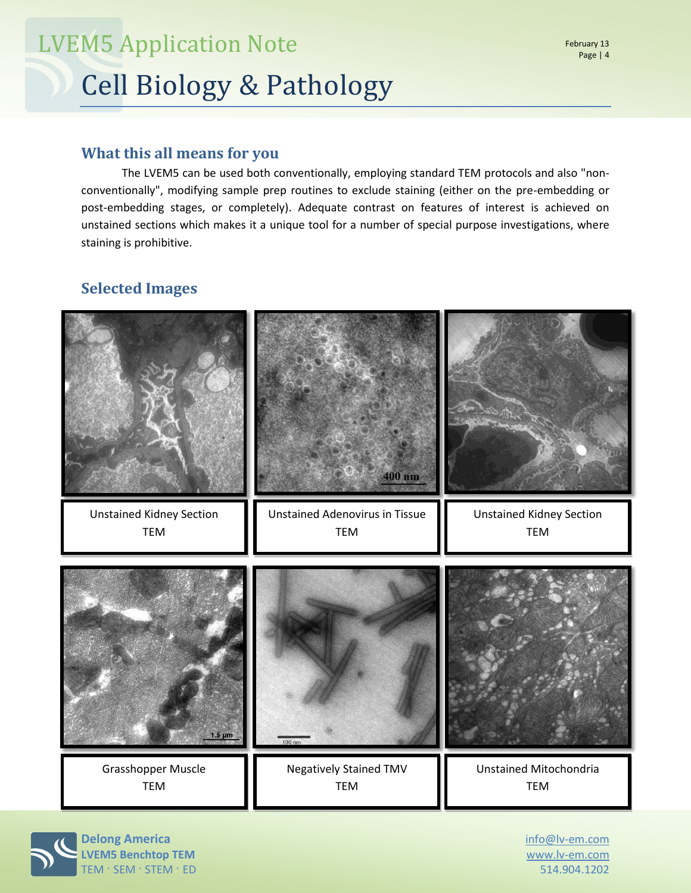## Cell Biology & Pathology LVEM5 Application Note

#### **What this all means for you**

The LVEM5 can be used both conventionally, employing standard TEM protocols and also "nonconventionally", modifying sample prep routines to exclude staining (either on the pre-embedding or post-embedding stages, or completely). Adequate contrast on features of interest is achieved on unstained sections which makes it a unique tool for a number of special purpose investigations, where staining is prohibitive.

#### **Selected Images**



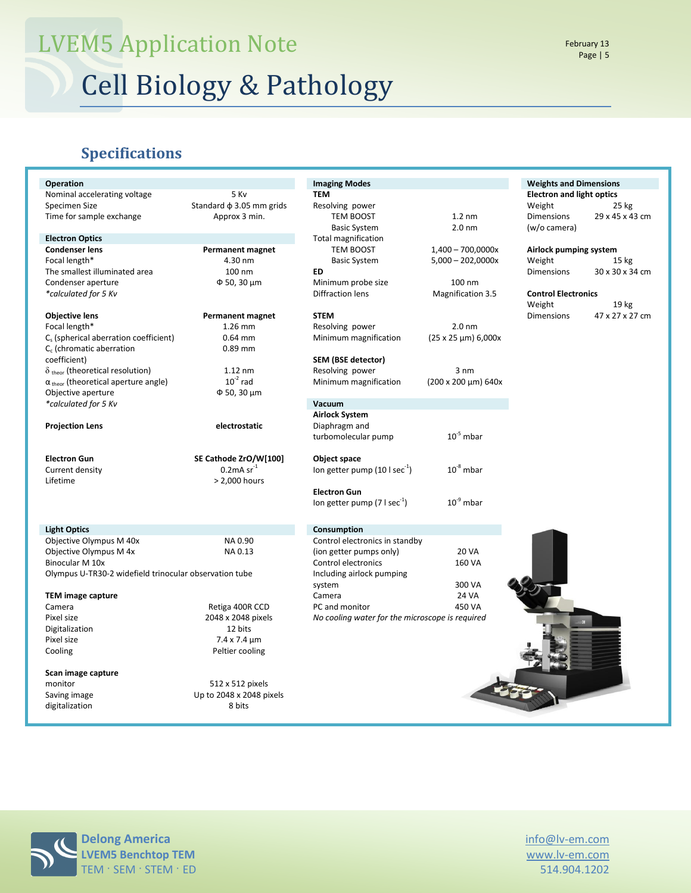# LVEM5 Application Note

Cell Biology & Pathology

#### **Specifications**

| <b>Operation</b>                                       |                               | <b>Imaging Modes</b>                            |                               | <b>Weights and Dimensions</b>    |                  |
|--------------------------------------------------------|-------------------------------|-------------------------------------------------|-------------------------------|----------------------------------|------------------|
| 5 Kv<br>Nominal accelerating voltage                   |                               | <b>TEM</b>                                      |                               | <b>Electron and light optics</b> |                  |
| Specimen Size                                          | Standard $\phi$ 3.05 mm grids | Resolving power                                 |                               | Weight                           | $25$ kg          |
| Time for sample exchange                               | Approx 3 min.                 | TEM BOOST                                       | $1.2 \text{ nm}$              | <b>Dimensions</b>                | 29 x 45 x 43 cm  |
|                                                        |                               | <b>Basic System</b>                             | 2.0 <sub>nm</sub>             | (w/o camera)                     |                  |
| <b>Electron Optics</b>                                 |                               | <b>Total magnification</b>                      |                               |                                  |                  |
| <b>Condenser lens</b><br><b>Permanent magnet</b>       |                               | TEM BOOST                                       | $1,400 - 700,0000x$           | Airlock pumping system           |                  |
| Focal length*                                          | 4.30 nm                       | <b>Basic System</b>                             | $5,000 - 202,0000x$           | Weight                           | 15 <sub>kg</sub> |
| The smallest illuminated area                          | 100 nm                        | ED                                              |                               | <b>Dimensions</b>                | 30 x 30 x 34 cm  |
| Condenser aperture                                     | $\Phi$ 50, 30 $\mu$ m         | Minimum probe size                              | 100 nm                        |                                  |                  |
| *calculated for 5 Kv                                   |                               | <b>Diffraction lens</b>                         | <b>Magnification 3.5</b>      | <b>Control Electronics</b>       |                  |
|                                                        |                               |                                                 |                               | Weight                           | 19 kg            |
| <b>Objective lens</b>                                  | <b>Permanent magnet</b>       | <b>STEM</b>                                     |                               | <b>Dimensions</b>                | 47 x 27 x 27 cm  |
| Focal length*                                          | 1.26 mm                       | Resolving power                                 | 2.0 <sub>nm</sub>             |                                  |                  |
| C <sub>s</sub> (spherical aberration coefficient)      | $0.64$ mm                     | Minimum magnification                           | $(25 \times 25 \mu m) 6,000x$ |                                  |                  |
| $C_c$ (chromatic aberration                            | $0.89$ mm                     |                                                 |                               |                                  |                  |
| coefficient)                                           |                               | SEM (BSE detector)                              |                               |                                  |                  |
| $\delta$ <sub>theor</sub> (theoretical resolution)     | $1.12$ nm                     | Resolving power                                 | 3 nm                          |                                  |                  |
| $\alpha$ <sub>theor</sub> (theoretical aperture angle) | $10^{-2}$ rad                 | Minimum magnification                           | (200 x 200 µm) 640x           |                                  |                  |
| Objective aperture                                     | Φ 50, 30 μm                   |                                                 |                               |                                  |                  |
| *calculated for 5 Kv                                   |                               | Vacuum                                          |                               |                                  |                  |
|                                                        |                               | <b>Airlock System</b>                           |                               |                                  |                  |
| <b>Projection Lens</b>                                 | electrostatic                 | Diaphragm and                                   |                               |                                  |                  |
|                                                        |                               | turbomolecular pump                             | $10^{-5}$ mbar                |                                  |                  |
|                                                        |                               |                                                 |                               |                                  |                  |
| <b>Electron Gun</b>                                    | SE Cathode ZrO/W[100]         | Object space                                    |                               |                                  |                  |
|                                                        |                               |                                                 |                               |                                  |                  |
|                                                        |                               |                                                 |                               |                                  |                  |
| Current density                                        | $0.2$ mA sr $^{-1}$           | lon getter pump $(10 \text{ kg}^{-1})$          | $10^{-8}$ mbar                |                                  |                  |
| Lifetime                                               | > 2,000 hours                 |                                                 |                               |                                  |                  |
|                                                        |                               | <b>Electron Gun</b>                             | $10^{9}$ mbar                 |                                  |                  |
|                                                        |                               | Ion getter pump (7 $1 sec-1$ )                  |                               |                                  |                  |
| <b>Light Optics</b>                                    |                               | Consumption                                     |                               |                                  |                  |
| Objective Olympus M 40x                                | NA 0.90                       | Control electronics in standby                  |                               |                                  |                  |
| Objective Olympus M 4x                                 | NA 0.13                       |                                                 | <b>20 VA</b>                  |                                  |                  |
| Binocular M 10x                                        |                               | (ion getter pumps only)<br>Control electronics  | 160 VA                        |                                  |                  |
| Olympus U-TR30-2 widefield trinocular observation tube |                               | Including airlock pumping                       |                               |                                  |                  |
|                                                        |                               | system                                          | 300 VA                        |                                  |                  |
| <b>TEM image capture</b>                               |                               | Camera                                          | <b>24 VA</b>                  |                                  |                  |
| Camera                                                 | Retiga 400R CCD               | PC and monitor                                  | 450 VA                        |                                  |                  |
| Pixel size                                             | 2048 x 2048 pixels            | No cooling water for the microscope is required |                               |                                  |                  |
| Digitalization                                         | 12 bits                       |                                                 |                               |                                  |                  |
| Pixel size                                             | $7.4 \times 7.4 \mu m$        |                                                 |                               |                                  |                  |
| Cooling                                                | Peltier cooling               |                                                 |                               |                                  |                  |
|                                                        |                               |                                                 |                               |                                  |                  |
| Scan image capture                                     |                               |                                                 |                               |                                  |                  |
| monitor                                                | 512 x 512 pixels              |                                                 |                               |                                  |                  |
| Saving image                                           | Up to 2048 x 2048 pixels      |                                                 |                               |                                  |                  |
| digitalization                                         | 8 bits                        |                                                 |                               |                                  |                  |